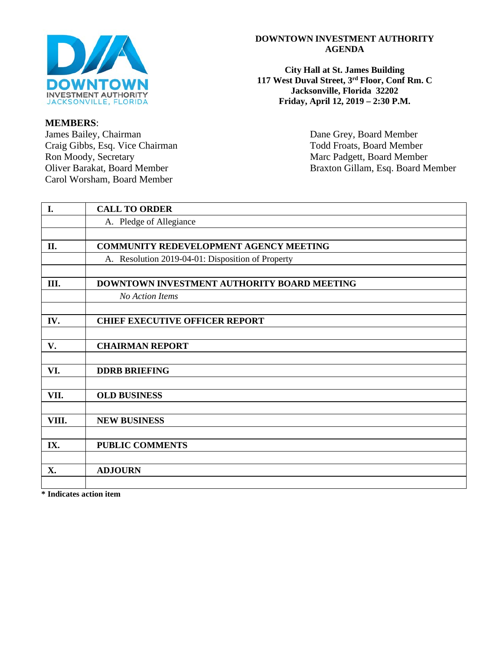

# **MEMBERS**:

Carol Worsham, Board Member

# **DOWNTOWN INVESTMENT AUTHORITY AGENDA**

**City Hall at St. James Building 117 West Duval Street, 3rd Floor, Conf Rm. C Jacksonville, Florida 32202 Friday, April 12, 2019 – 2:30 P.M.**

Dane Grey, Board Member Craig Gibbs, Esq. Vice Chairman Todd Froats, Board Member<br>
Ron Moody, Secretary Marc Padgett, Board Member<br>
Marc Padgett, Board Member Marc Padgett, Board Member Oliver Barakat, Board Member Braxton Gillam, Esq. Board Member

| I.    | <b>CALL TO ORDER</b>                              |
|-------|---------------------------------------------------|
|       | A. Pledge of Allegiance                           |
|       |                                                   |
| II.   | <b>COMMUNITY REDEVELOPMENT AGENCY MEETING</b>     |
|       | A. Resolution 2019-04-01: Disposition of Property |
|       |                                                   |
| Ш.    | DOWNTOWN INVESTMENT AUTHORITY BOARD MEETING       |
|       | No Action Items                                   |
|       |                                                   |
| IV.   | <b>CHIEF EXECUTIVE OFFICER REPORT</b>             |
|       |                                                   |
| V.    | <b>CHAIRMAN REPORT</b>                            |
|       |                                                   |
| VI.   | <b>DDRB BRIEFING</b>                              |
|       |                                                   |
| VII.  | <b>OLD BUSINESS</b>                               |
|       |                                                   |
| VIII. | <b>NEW BUSINESS</b>                               |
|       |                                                   |
| IX.   | <b>PUBLIC COMMENTS</b>                            |
|       |                                                   |
| X.    | <b>ADJOURN</b>                                    |
|       |                                                   |

**\* Indicates action item**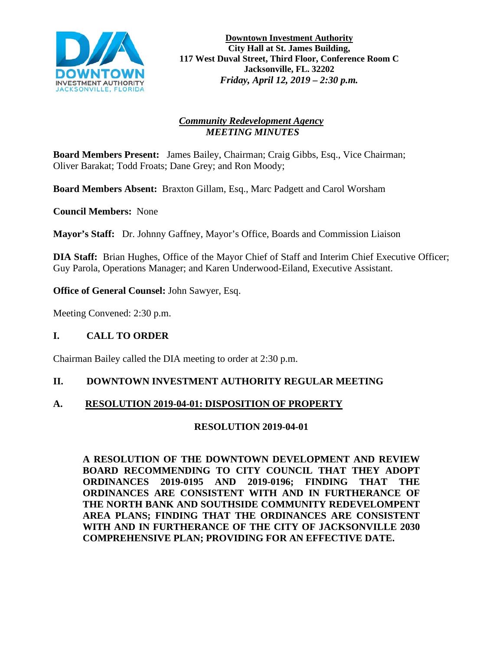

**Downtown Investment Authority City Hall at St. James Building, 117 West Duval Street, Third Floor, Conference Room C Jacksonville, FL. 32202** *Friday, April 12, 2019 – 2:30 p.m.* 

# *Community Redevelopment Agency MEETING MINUTES*

**Board Members Present:** James Bailey, Chairman; Craig Gibbs, Esq., Vice Chairman; Oliver Barakat; Todd Froats; Dane Grey; and Ron Moody;

**Board Members Absent:** Braxton Gillam, Esq., Marc Padgett and Carol Worsham

**Council Members:** None

**Mayor's Staff:** Dr. Johnny Gaffney, Mayor's Office, Boards and Commission Liaison

**DIA Staff:** Brian Hughes, Office of the Mayor Chief of Staff and Interim Chief Executive Officer; Guy Parola, Operations Manager; and Karen Underwood-Eiland, Executive Assistant.

**Office of General Counsel:** John Sawyer, Esq.

Meeting Convened: 2:30 p.m.

### **I. CALL TO ORDER**

Chairman Bailey called the DIA meeting to order at 2:30 p.m.

### **II. DOWNTOWN INVESTMENT AUTHORITY REGULAR MEETING**

### **A. RESOLUTION 2019-04-01: DISPOSITION OF PROPERTY**

### **RESOLUTION 2019-04-01**

**A RESOLUTION OF THE DOWNTOWN DEVELOPMENT AND REVIEW BOARD RECOMMENDING TO CITY COUNCIL THAT THEY ADOPT ORDINANCES 2019-0195 AND 2019-0196; FINDING THAT THE ORDINANCES ARE CONSISTENT WITH AND IN FURTHERANCE OF THE NORTH BANK AND SOUTHSIDE COMMUNITY REDEVELOMPENT AREA PLANS; FINDING THAT THE ORDINANCES ARE CONSISTENT WITH AND IN FURTHERANCE OF THE CITY OF JACKSONVILLE 2030 COMPREHENSIVE PLAN; PROVIDING FOR AN EFFECTIVE DATE.**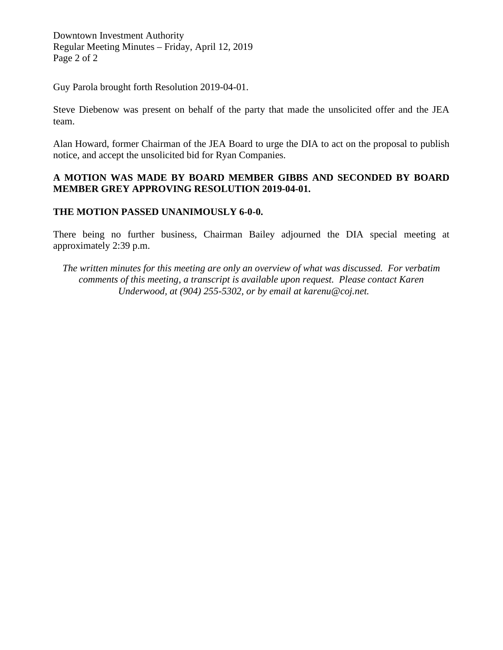Downtown Investment Authority Regular Meeting Minutes – Friday, April 12, 2019 Page 2 of 2

Guy Parola brought forth Resolution 2019-04-01.

Steve Diebenow was present on behalf of the party that made the unsolicited offer and the JEA team.

Alan Howard, former Chairman of the JEA Board to urge the DIA to act on the proposal to publish notice, and accept the unsolicited bid for Ryan Companies.

# **A MOTION WAS MADE BY BOARD MEMBER GIBBS AND SECONDED BY BOARD MEMBER GREY APPROVING RESOLUTION 2019-04-01.**

# **THE MOTION PASSED UNANIMOUSLY 6-0-0.**

There being no further business, Chairman Bailey adjourned the DIA special meeting at approximately 2:39 p.m.

*The written minutes for this meeting are only an overview of what was discussed. For verbatim comments of this meeting, a transcript is available upon request. Please contact Karen Underwood, at (904) 255-5302, or by email at karenu@coj.net.*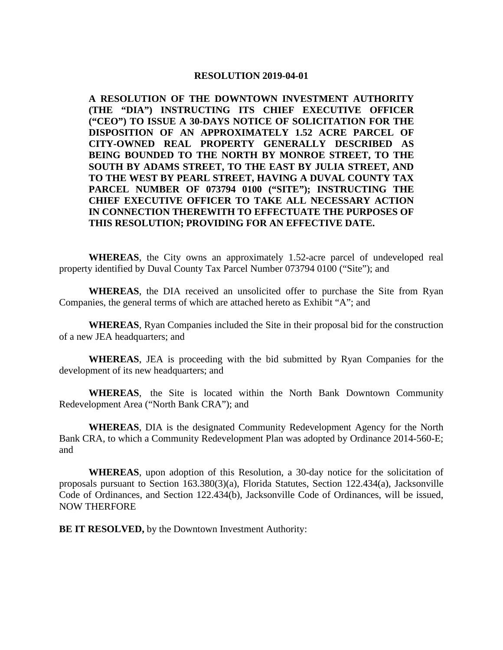#### **RESOLUTION 2019-04-01**

**A RESOLUTION OF THE DOWNTOWN INVESTMENT AUTHORITY (THE "DIA") INSTRUCTING ITS CHIEF EXECUTIVE OFFICER ("CEO") TO ISSUE A 30-DAYS NOTICE OF SOLICITATION FOR THE DISPOSITION OF AN APPROXIMATELY 1.52 ACRE PARCEL OF CITY-OWNED REAL PROPERTY GENERALLY DESCRIBED AS BEING BOUNDED TO THE NORTH BY MONROE STREET, TO THE SOUTH BY ADAMS STREET, TO THE EAST BY JULIA STREET, AND TO THE WEST BY PEARL STREET, HAVING A DUVAL COUNTY TAX PARCEL NUMBER OF 073794 0100 ("SITE"); INSTRUCTING THE CHIEF EXECUTIVE OFFICER TO TAKE ALL NECESSARY ACTION IN CONNECTION THEREWITH TO EFFECTUATE THE PURPOSES OF THIS RESOLUTION; PROVIDING FOR AN EFFECTIVE DATE.** 

**WHEREAS**, the City owns an approximately 1.52-acre parcel of undeveloped real property identified by Duval County Tax Parcel Number 073794 0100 ("Site"); and

**WHEREAS**, the DIA received an unsolicited offer to purchase the Site from Ryan Companies, the general terms of which are attached hereto as Exhibit "A"; and

**WHEREAS**, Ryan Companies included the Site in their proposal bid for the construction of a new JEA headquarters; and

**WHEREAS**, JEA is proceeding with the bid submitted by Ryan Companies for the development of its new headquarters; and

**WHEREAS**, the Site is located within the North Bank Downtown Community Redevelopment Area ("North Bank CRA"); and

**WHEREAS**, DIA is the designated Community Redevelopment Agency for the North Bank CRA, to which a Community Redevelopment Plan was adopted by Ordinance 2014-560-E; and

**WHEREAS**, upon adoption of this Resolution, a 30-day notice for the solicitation of proposals pursuant to Section 163.380(3)(a), Florida Statutes, Section 122.434(a), Jacksonville Code of Ordinances, and Section 122.434(b), Jacksonville Code of Ordinances, will be issued, NOW THERFORE

**BE IT RESOLVED,** by the Downtown Investment Authority: